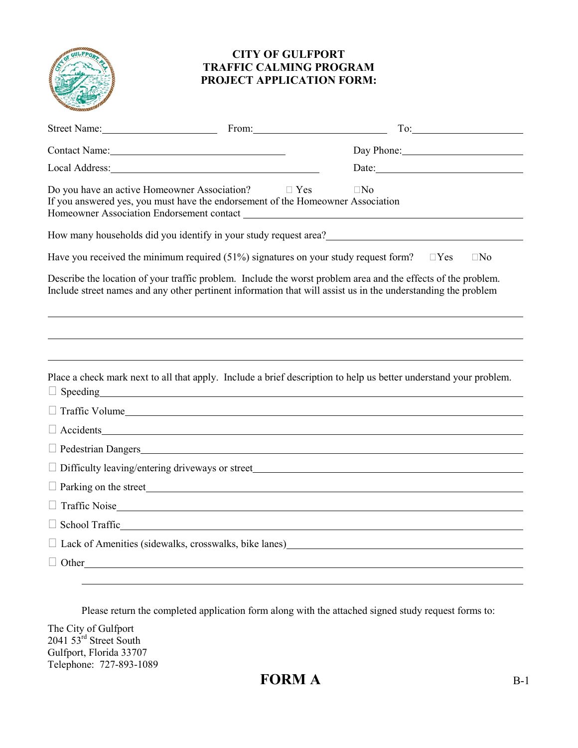

## **CITY OF GULFPORT TRAFFIC CALMING PROGRAM PROJECT APPLICATION FORM:**

| Street Name: From: From:                                                                                                                                                                                                                    |            |                                                                                                                                      |  |  |  |
|---------------------------------------------------------------------------------------------------------------------------------------------------------------------------------------------------------------------------------------------|------------|--------------------------------------------------------------------------------------------------------------------------------------|--|--|--|
| Contact Name: 2008                                                                                                                                                                                                                          |            | Day Phone:                                                                                                                           |  |  |  |
| Local Address: Note and Address and Address and Address and Address and Address and Address and Address and Address and Address and Address and Address and Address and Address and Address and Address and Address and Addres              |            | Date:                                                                                                                                |  |  |  |
| Do you have an active Homeowner Association?<br>If you answered yes, you must have the endorsement of the Homeowner Association<br>Homeowner Association Endorsement contact New York Channels and Security Association Endorsement contact | $\Box$ Yes | $\Box$ No                                                                                                                            |  |  |  |
|                                                                                                                                                                                                                                             |            | How many households did you identify in your study request area?<br>The many households did you identify in your study request area? |  |  |  |
|                                                                                                                                                                                                                                             |            | Have you received the minimum required (51%) signatures on your study request form? $\square$ Yes<br>$\Box$ No                       |  |  |  |
| Describe the location of your traffic problem. Include the worst problem area and the effects of the problem.<br>Include street names and any other pertinent information that will assist us in the understanding the problem              |            |                                                                                                                                      |  |  |  |
|                                                                                                                                                                                                                                             |            | Place a check mark next to all that apply. Include a brief description to help us better understand your problem.                    |  |  |  |
|                                                                                                                                                                                                                                             |            |                                                                                                                                      |  |  |  |
| $\Box$ Traffic Volume                                                                                                                                                                                                                       |            |                                                                                                                                      |  |  |  |
| $\Box$ Accidents                                                                                                                                                                                                                            |            |                                                                                                                                      |  |  |  |
|                                                                                                                                                                                                                                             |            |                                                                                                                                      |  |  |  |
|                                                                                                                                                                                                                                             |            |                                                                                                                                      |  |  |  |
| $\Box$ Parking on the street                                                                                                                                                                                                                |            |                                                                                                                                      |  |  |  |
| $\Box$ Traffic Noise                                                                                                                                                                                                                        |            |                                                                                                                                      |  |  |  |
| $\Box$ School Traffic                                                                                                                                                                                                                       |            |                                                                                                                                      |  |  |  |
|                                                                                                                                                                                                                                             |            | □ Lack of Amenities (sidewalks, crosswalks, bike lanes)<br>□ Lack of Amenities (sidewalks, crosswalks, bike lanes)                   |  |  |  |
| $\Box$ Other                                                                                                                                                                                                                                |            |                                                                                                                                      |  |  |  |
|                                                                                                                                                                                                                                             |            |                                                                                                                                      |  |  |  |

Please return the completed application form along with the attached signed study request forms to:

The City of Gulfport 2041 53rd Street South Gulfport, Florida 33707 Telephone: 727-893-1089